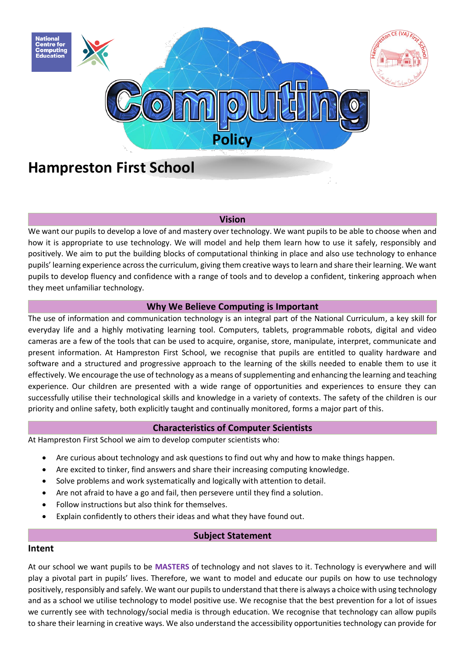

# **Hampreston First School**

#### **Vision**

We want our pupils to develop a love of and mastery over technology. We want pupils to be able to choose when and how it is appropriate to use technology. We will model and help them learn how to use it safely, responsibly and positively. We aim to put the building blocks of computational thinking in place and also use technology to enhance pupils' learning experience across the curriculum, giving them creative ways to learn and share their learning. We want pupils to develop fluency and confidence with a range of tools and to develop a confident, tinkering approach when they meet unfamiliar technology.

## **Why We Believe Computing is Important**

The use of information and communication technology is an integral part of the National Curriculum, a key skill for everyday life and a highly motivating learning tool. Computers, tablets, programmable robots, digital and video cameras are a few of the tools that can be used to acquire, organise, store, manipulate, interpret, communicate and present information. At Hampreston First School, we recognise that pupils are entitled to quality hardware and software and a structured and progressive approach to the learning of the skills needed to enable them to use it effectively. We encourage the use of technology as a means of supplementing and enhancing the learning and teaching experience. Our children are presented with a wide range of opportunities and experiences to ensure they can successfully utilise their technological skills and knowledge in a variety of contexts. The safety of the children is our priority and online safety, both explicitly taught and continually monitored, forms a major part of this.

## **Characteristics of Computer Scientists**

At Hampreston First School we aim to develop computer scientists who:

- Are curious about technology and ask questions to find out why and how to make things happen.
- Are excited to tinker, find answers and share their increasing computing knowledge.
- Solve problems and work systematically and logically with attention to detail.
- Are not afraid to have a go and fail, then persevere until they find a solution.
- Follow instructions but also think for themselves.
- Explain confidently to others their ideas and what they have found out.

## **Subject Statement**

## **Intent**

At our school we want pupils to be **MASTERS** of technology and not slaves to it. Technology is everywhere and will play a pivotal part in pupils' lives. Therefore, we want to model and educate our pupils on how to use technology positively, responsibly and safely. We want our pupils to understand that there is always a choice with using technology and as a school we utilise technology to model positive use. We recognise that the best prevention for a lot of issues we currently see with technology/social media is through education. We recognise that technology can allow pupils to share their learning in creative ways. We also understand the accessibility opportunities technology can provide for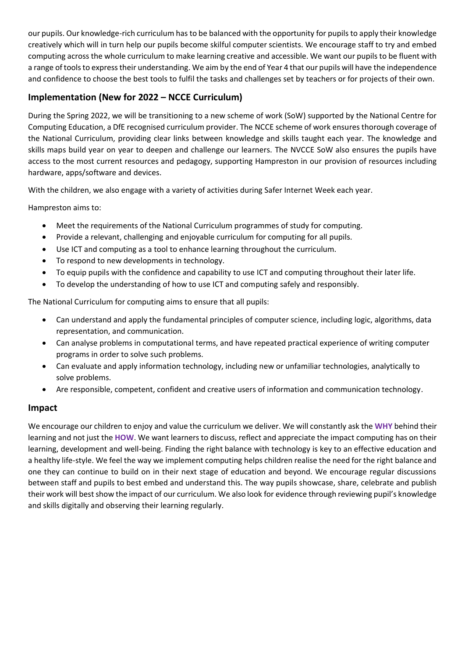our pupils. Our knowledge-rich curriculum has to be balanced with the opportunity for pupils to apply their knowledge creatively which will in turn help our pupils become skilful computer scientists. We encourage staff to try and embed computing across the whole curriculum to make learning creative and accessible. We want our pupils to be fluent with a range of tools to express their understanding. We aim by the end of Year 4 that our pupils will have the independence and confidence to choose the best tools to fulfil the tasks and challenges set by teachers or for projects of their own.

# **Implementation (New for 2022 – NCCE Curriculum)**

During the Spring 2022, we will be transitioning to a new scheme of work (SoW) supported by the National Centre for Computing Education, a DfE recognised curriculum provider. The NCCE scheme of work ensures thorough coverage of the National Curriculum, providing clear links between knowledge and skills taught each year. The knowledge and skills maps build year on year to deepen and challenge our learners. The NVCCE SoW also ensures the pupils have access to the most current resources and pedagogy, supporting Hampreston in our provision of resources including hardware, apps/software and devices.

With the children, we also engage with a variety of activities during Safer Internet Week each year.

Hampreston aims to:

- Meet the requirements of the National Curriculum programmes of study for computing.
- Provide a relevant, challenging and enjoyable curriculum for computing for all pupils.
- Use ICT and computing as a tool to enhance learning throughout the curriculum.
- To respond to new developments in technology.
- To equip pupils with the confidence and capability to use ICT and computing throughout their later life.
- To develop the understanding of how to use ICT and computing safely and responsibly.

The National Curriculum for computing aims to ensure that all pupils:

- Can understand and apply the fundamental principles of computer science, including logic, algorithms, data representation, and communication.
- Can analyse problems in computational terms, and have repeated practical experience of writing computer programs in order to solve such problems.
- Can evaluate and apply information technology, including new or unfamiliar technologies, analytically to solve problems.
- Are responsible, competent, confident and creative users of information and communication technology.

# **Impact**

We encourage our children to enjoy and value the curriculum we deliver. We will constantly ask the **WHY** behind their learning and not just the **HOW**. We want learners to discuss, reflect and appreciate the impact computing has on their learning, development and well-being. Finding the right balance with technology is key to an effective education and a healthy life-style. We feel the way we implement computing helps children realise the need for the right balance and one they can continue to build on in their next stage of education and beyond. We encourage regular discussions between staff and pupils to best embed and understand this. The way pupils showcase, share, celebrate and publish their work will best show the impact of our curriculum. We also look for evidence through reviewing pupil's knowledge and skills digitally and observing their learning regularly.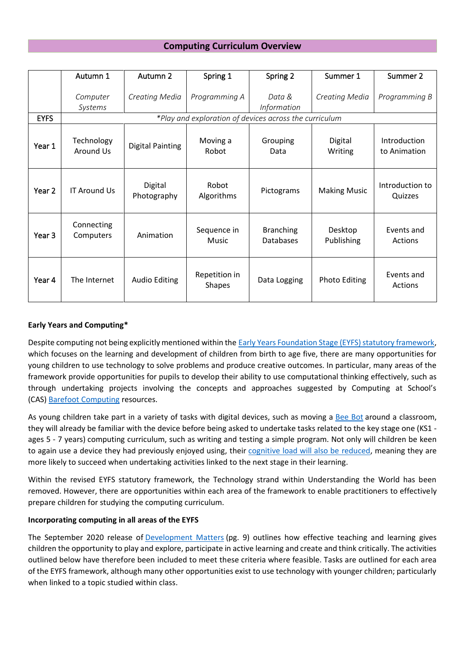# **Computing Curriculum Overview**

|             | Autumn 1                                               | Autumn 2                | Spring 1                       | Spring 2                      | Summer 1              | Summer 2                     |
|-------------|--------------------------------------------------------|-------------------------|--------------------------------|-------------------------------|-----------------------|------------------------------|
|             | Computer<br>Systems                                    | <b>Creating Media</b>   | Programming A                  | Data &<br><i>Information</i>  | Creating Media        | Programming B                |
| <b>EYFS</b> | *Play and exploration of devices across the curriculum |                         |                                |                               |                       |                              |
| Year 1      | Technology<br>Around Us                                | <b>Digital Painting</b> | Moving a<br>Robot              | Grouping<br>Data              | Digital<br>Writing    | Introduction<br>to Animation |
| Year 2      | <b>IT Around Us</b>                                    | Digital<br>Photography  | Robot<br>Algorithms            | Pictograms                    | <b>Making Music</b>   | Introduction to<br>Quizzes   |
| Year 3      | Connecting<br>Computers                                | Animation               | Sequence in<br>Music           | <b>Branching</b><br>Databases | Desktop<br>Publishing | Events and<br>Actions        |
| Year 4      | The Internet                                           | <b>Audio Editing</b>    | Repetition in<br><b>Shapes</b> | Data Logging                  | <b>Photo Editing</b>  | Events and<br>Actions        |

## **Early Years and Computing\***

Despite computing not being explicitly mentioned within the **Early Years Foundation Stage (EYFS) statutory framework**, which focuses on the learning and development of children from birth to age five, there are many opportunities for young children to use technology to solve problems and produce creative outcomes. In particular, many areas of the framework provide opportunities for pupils to develop their ability to use computational thinking effectively, such as through undertaking projects involving the concepts and approaches suggested by Computing at School's (CAS) [Barefoot Computing](http://www.barefootcomputing.org/) resources.

As young children take part in a variety of tasks with digital devices, such as moving a [Bee Bot](http://www.tts-group.co.uk/Hero-BeeBot.html) around a classroom, they will already be familiar with the device before being asked to undertake tasks related to the key stage one (KS1 ages 5 - 7 years) computing curriculum, such as writing and testing a simple program. Not only will children be keen to again use a device they had previously enjoyed using, their [cognitive load will also be reduced,](http://code-it.co.uk/a-review-of-cognitive-load-theory-lessons-of-teaching-computing/) meaning they are more likely to succeed when undertaking activities linked to the next stage in their learning.

Within the revised EYFS statutory framework, the Technology strand within Understanding the World has been removed. However, there are opportunities within each area of the framework to enable practitioners to effectively prepare children for studying the computing curriculum.

## **Incorporating computing in all areas of the EYFS**

The September 2020 release of [Development Matters](https://www.gov.uk/government/publications/early-adopter-schools-eyfs-framework) (pg. 9) outlines how effective teaching and learning gives children the opportunity to play and explore, participate in active learning and create and think critically. The activities outlined below have therefore been included to meet these criteria where feasible. Tasks are outlined for each area of the EYFS framework, although many other opportunities exist to use technology with younger children; particularly when linked to a topic studied within class.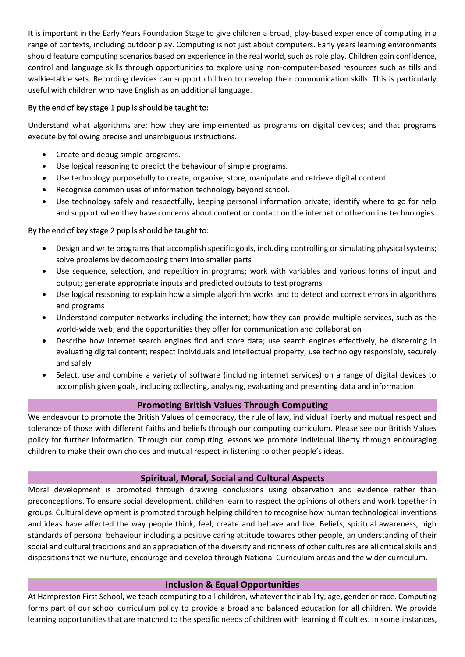It is important in the Early Years Foundation Stage to give children a broad, play-based experience of computing in a range of contexts, including outdoor play. Computing is not just about computers. Early years learning environments should feature computing scenarios based on experience in the real world, such as role play. Children gain confidence, control and language skills through opportunities to explore using non-computer-based resources such as tills and walkie-talkie sets. Recording devices can support children to develop their communication skills. This is particularly useful with children who have English as an additional language.

# By the end of key stage 1 pupils should be taught to:

Understand what algorithms are; how they are implemented as programs on digital devices; and that programs execute by following precise and unambiguous instructions.

- Create and debug simple programs.
- Use logical reasoning to predict the behaviour of simple programs.
- Use technology purposefully to create, organise, store, manipulate and retrieve digital content.
- Recognise common uses of information technology beyond school.
- Use technology safely and respectfully, keeping personal information private; identify where to go for help and support when they have concerns about content or contact on the internet or other online technologies.

# By the end of key stage 2 pupils should be taught to:

- Design and write programs that accomplish specific goals, including controlling or simulating physical systems; solve problems by decomposing them into smaller parts
- Use sequence, selection, and repetition in programs; work with variables and various forms of input and output; generate appropriate inputs and predicted outputs to test programs
- Use logical reasoning to explain how a simple algorithm works and to detect and correct errors in algorithms and programs
- Understand computer networks including the internet; how they can provide multiple services, such as the world-wide web; and the opportunities they offer for communication and collaboration
- Describe how internet search engines find and store data; use search engines effectively; be discerning in evaluating digital content; respect individuals and intellectual property; use technology responsibly, securely and safely
- Select, use and combine a variety of software (including internet services) on a range of digital devices to accomplish given goals, including collecting, analysing, evaluating and presenting data and information.

# **Promoting British Values Through Computing**

We endeavour to promote the British Values of democracy, the rule of law, individual liberty and mutual respect and tolerance of those with different faiths and beliefs through our computing curriculum. Please see our British Values policy for further information. Through our computing lessons we promote individual liberty through encouraging children to make their own choices and mutual respect in listening to other people's ideas.

# **Spiritual, Moral, Social and Cultural Aspects**

Moral development is promoted through drawing conclusions using observation and evidence rather than preconceptions. To ensure social development, children learn to respect the opinions of others and work together in groups. Cultural development is promoted through helping children to recognise how human technological inventions and ideas have affected the way people think, feel, create and behave and live. Beliefs, spiritual awareness, high standards of personal behaviour including a positive caring attitude towards other people, an understanding of their social and cultural traditions and an appreciation of the diversity and richness of other cultures are all critical skills and dispositions that we nurture, encourage and develop through National Curriculum areas and the wider curriculum.

# **Inclusion & Equal Opportunities**

At Hampreston First School, we teach computing to all children, whatever their ability, age, gender or race. Computing forms part of our school curriculum policy to provide a broad and balanced education for all children. We provide learning opportunities that are matched to the specific needs of children with learning difficulties. In some instances,